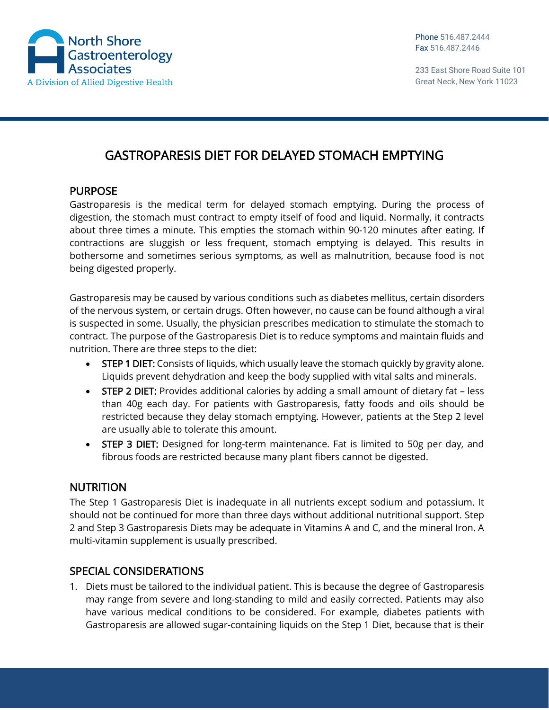

## GASTROPARESIS DIET FOR DELAYED STOMACH EMPTYING

## PURPOSE

Gastroparesis is the medical term for delayed stomach emptying. During the process of digestion, the stomach must contract to empty itself of food and liquid. Normally, it contracts about three times a minute. This empties the stomach within 90-120 minutes after eating. If contractions are sluggish or less frequent, stomach emptying is delayed. This results in bothersome and sometimes serious symptoms, as well as malnutrition, because food is not being digested properly.

Gastroparesis may be caused by various conditions such as diabetes mellitus, certain disorders of the nervous system, or certain drugs. Often however, no cause can be found although a viral is suspected in some. Usually, the physician prescribes medication to stimulate the stomach to contract. The purpose of the Gastroparesis Diet is to reduce symptoms and maintain fluids and nutrition. There are three steps to the diet:

- STEP 1 DIET: Consists of liquids, which usually leave the stomach quickly by gravity alone. Liquids prevent dehydration and keep the body supplied with vital salts and minerals.
- STEP 2 DIET: Provides additional calories by adding a small amount of dietary fat less than 40g each day. For patients with Gastroparesis, fatty foods and oils should be restricted because they delay stomach emptying. However, patients at the Step 2 level are usually able to tolerate this amount.
- **STEP 3 DIET:** Designed for long-term maintenance. Fat is limited to 50g per day, and fibrous foods are restricted because many plant fibers cannot be digested.

## **NUTRITION**

The Step 1 Gastroparesis Diet is inadequate in all nutrients except sodium and potassium. It should not be continued for more than three days without additional nutritional support. Step 2 and Step 3 Gastroparesis Diets may be adequate in Vitamins A and C, and the mineral Iron. A multi-vitamin supplement is usually prescribed.

## SPECIAL CONSIDERATIONS

1. Diets must be tailored to the individual patient. This is because the degree of Gastroparesis may range from severe and long-standing to mild and easily corrected. Patients may also have various medical conditions to be considered. For example, diabetes patients with Gastroparesis are allowed sugar-containing liquids on the Step 1 Diet, because that is their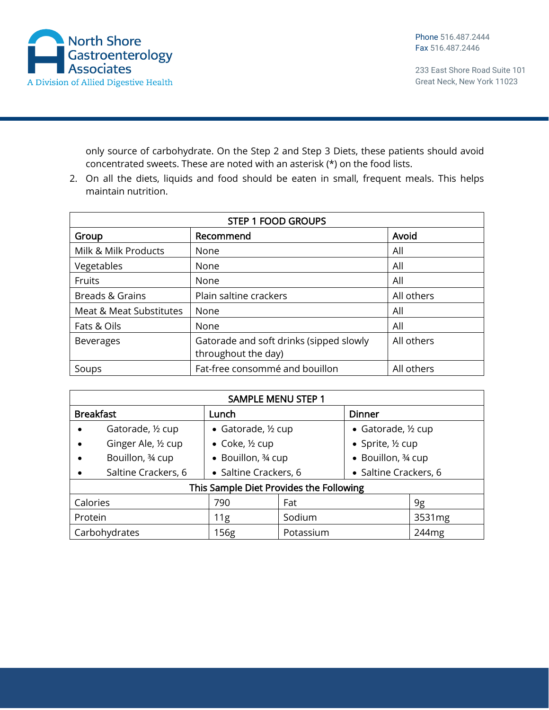

Phone 516.487.2444 Fax 516.487.2446

233 East Shore Road Suite 101 Great Neck, New York 11023

only source of carbohydrate. On the Step 2 and Step 3 Diets, these patients should avoid concentrated sweets. These are noted with an asterisk (\*) on the food lists.

2. On all the diets, liquids and food should be eaten in small, frequent meals. This helps maintain nutrition.

| <b>STEP 1 FOOD GROUPS</b> |                                                                |            |  |
|---------------------------|----------------------------------------------------------------|------------|--|
| Group                     | Recommend                                                      | Avoid      |  |
| Milk & Milk Products      | None                                                           | All        |  |
| Vegetables                | None                                                           | All        |  |
| Fruits                    | None                                                           | All        |  |
| Breads & Grains           | Plain saltine crackers                                         | All others |  |
| Meat & Meat Substitutes   | None                                                           | All        |  |
| Fats & Oils               | None                                                           | All        |  |
| <b>Beverages</b>          | Gatorade and soft drinks (sipped slowly<br>throughout the day) | All others |  |
| Soups                     | Fat-free consommé and bouillon                                 | All others |  |

| <b>SAMPLE MENU STEP 1</b>               |                                   |                       |                     |                       |
|-----------------------------------------|-----------------------------------|-----------------------|---------------------|-----------------------|
| <b>Breakfast</b>                        | Lunch                             |                       | <b>Dinner</b>       |                       |
| Gatorade, 1/2 cup                       | • Gatorade, 1/2 cup               |                       | • Gatorade, 1/2 cup |                       |
| Ginger Ale, 1/2 cup                     | $\bullet$ Coke, $\frac{1}{2}$ cup |                       | • Sprite, ½ cup     |                       |
| Bouillon, 34 cup                        | • Bouillon, 34 cup                |                       | • Bouillon, 3⁄4 cup |                       |
| Saltine Crackers, 6                     |                                   | · Saltine Crackers, 6 |                     | • Saltine Crackers, 6 |
| This Sample Diet Provides the Following |                                   |                       |                     |                       |
| Calories                                | 790                               | Fat                   |                     | 9g                    |
| Protein                                 | 11g                               | Sodium                |                     | 3531mg                |
| Carbohydrates                           | 156g                              | Potassium             |                     | 244 <sub>mg</sub>     |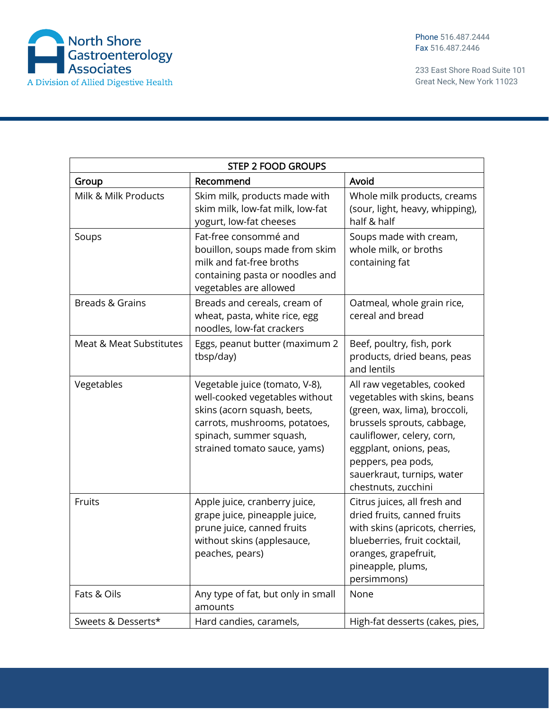

| <b>STEP 2 FOOD GROUPS</b> |                                                                                                                                                                                             |                                                                                                                                                                                                                                                               |  |
|---------------------------|---------------------------------------------------------------------------------------------------------------------------------------------------------------------------------------------|---------------------------------------------------------------------------------------------------------------------------------------------------------------------------------------------------------------------------------------------------------------|--|
| Group                     | Recommend                                                                                                                                                                                   | Avoid                                                                                                                                                                                                                                                         |  |
| Milk & Milk Products      | Skim milk, products made with<br>skim milk, low-fat milk, low-fat<br>yogurt, low-fat cheeses                                                                                                | Whole milk products, creams<br>(sour, light, heavy, whipping),<br>half & half                                                                                                                                                                                 |  |
| Soups                     | Fat-free consommé and<br>bouillon, soups made from skim<br>milk and fat-free broths<br>containing pasta or noodles and<br>vegetables are allowed                                            | Soups made with cream,<br>whole milk, or broths<br>containing fat                                                                                                                                                                                             |  |
| Breads & Grains           | Breads and cereals, cream of<br>wheat, pasta, white rice, egg<br>noodles, low-fat crackers                                                                                                  | Oatmeal, whole grain rice,<br>cereal and bread                                                                                                                                                                                                                |  |
| Meat & Meat Substitutes   | Eggs, peanut butter (maximum 2<br>tbsp/day)                                                                                                                                                 | Beef, poultry, fish, pork<br>products, dried beans, peas<br>and lentils                                                                                                                                                                                       |  |
| Vegetables                | Vegetable juice (tomato, V-8),<br>well-cooked vegetables without<br>skins (acorn squash, beets,<br>carrots, mushrooms, potatoes,<br>spinach, summer squash,<br>strained tomato sauce, yams) | All raw vegetables, cooked<br>vegetables with skins, beans<br>(green, wax, lima), broccoli,<br>brussels sprouts, cabbage,<br>cauliflower, celery, corn,<br>eggplant, onions, peas,<br>peppers, pea pods,<br>sauerkraut, turnips, water<br>chestnuts, zucchini |  |
| Fruits                    | Apple juice, cranberry juice,<br>grape juice, pineapple juice,<br>prune juice, canned fruits<br>without skins (applesauce,<br>peaches, pears)                                               | Citrus juices, all fresh and<br>dried fruits, canned fruits<br>with skins (apricots, cherries,<br>blueberries, fruit cocktail,<br>oranges, grapefruit,<br>pineapple, plums,<br>persimmons)                                                                    |  |
| Fats & Oils               | Any type of fat, but only in small<br>amounts                                                                                                                                               | None                                                                                                                                                                                                                                                          |  |
| Sweets & Desserts*        | Hard candies, caramels,                                                                                                                                                                     | High-fat desserts (cakes, pies,                                                                                                                                                                                                                               |  |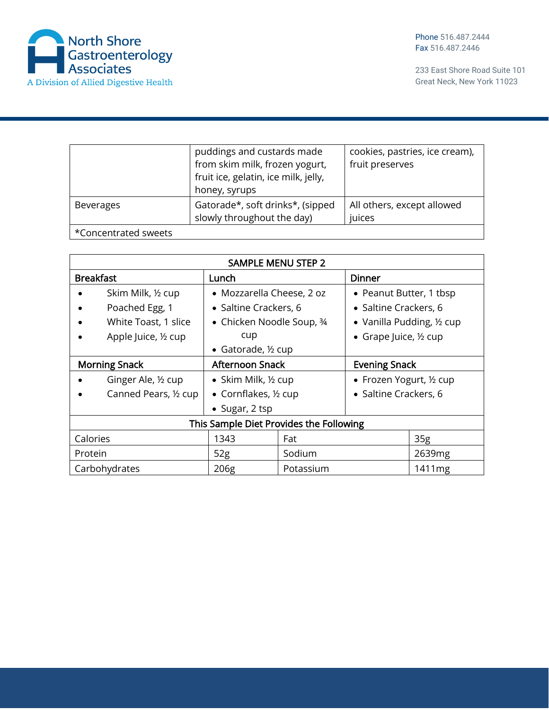

|                      | puddings and custards made<br>from skim milk, frozen yogurt,<br>fruit ice, gelatin, ice milk, jelly,<br>honey, syrups | cookies, pastries, ice cream),<br>fruit preserves |
|----------------------|-----------------------------------------------------------------------------------------------------------------------|---------------------------------------------------|
| <b>Beverages</b>     | Gatorade*, soft drinks*, (sipped<br>slowly throughout the day)                                                        | All others, except allowed<br>juices              |
| *Concentrated sweets |                                                                                                                       |                                                   |

| <b>SAMPLE MENU STEP 2</b>               |                                |           |                                      |                 |  |
|-----------------------------------------|--------------------------------|-----------|--------------------------------------|-----------------|--|
| <b>Breakfast</b>                        | Lunch                          |           | <b>Dinner</b>                        |                 |  |
| Skim Milk, 1/2 cup                      | • Mozzarella Cheese, 2 oz      |           | • Peanut Butter, 1 tbsp              |                 |  |
| Poached Egg, 1                          | • Saltine Crackers, 6          |           | • Saltine Crackers, 6                |                 |  |
| White Toast, 1 slice                    | • Chicken Noodle Soup, 3/4     |           | • Vanilla Pudding, $\frac{1}{2}$ cup |                 |  |
| Apple Juice, 1/2 cup                    | cup                            |           | • Grape Juice, $\frac{1}{2}$ cup     |                 |  |
|                                         | • Gatorade, 1/2 cup            |           |                                      |                 |  |
| <b>Morning Snack</b>                    | <b>Afternoon Snack</b>         |           | <b>Evening Snack</b>                 |                 |  |
| Ginger Ale, 1/2 cup                     | • Skim Milk, $\frac{1}{2}$ cup |           | • Frozen Yogurt, 1/2 cup             |                 |  |
| Canned Pears, 1/2 cup                   | • Cornflakes, 1/2 cup          |           | • Saltine Crackers, 6                |                 |  |
|                                         | • Sugar, $2$ tsp               |           |                                      |                 |  |
| This Sample Diet Provides the Following |                                |           |                                      |                 |  |
| Calories                                | 1343                           | Fat       |                                      | 35 <sub>g</sub> |  |
| Protein                                 | 52g                            | Sodium    |                                      | 2639mg          |  |
| Carbohydrates                           | 206g                           | Potassium |                                      | 1411mg          |  |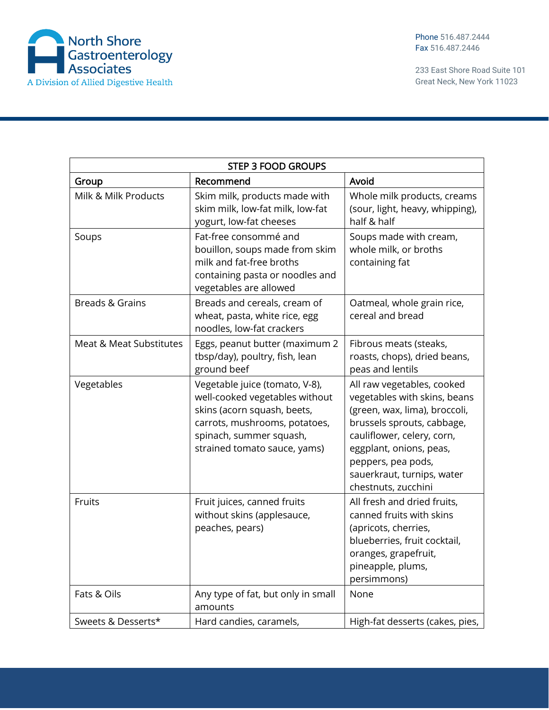

Phone 516.487.2444 Fax 516.487.2446

| <b>STEP 3 FOOD GROUPS</b> |                                                                                                                                                                                             |                                                                                                                                                                                                                                                               |  |
|---------------------------|---------------------------------------------------------------------------------------------------------------------------------------------------------------------------------------------|---------------------------------------------------------------------------------------------------------------------------------------------------------------------------------------------------------------------------------------------------------------|--|
| Group                     | Recommend                                                                                                                                                                                   | Avoid                                                                                                                                                                                                                                                         |  |
| Milk & Milk Products      | Skim milk, products made with<br>skim milk, low-fat milk, low-fat<br>yogurt, low-fat cheeses                                                                                                | Whole milk products, creams<br>(sour, light, heavy, whipping),<br>half & half                                                                                                                                                                                 |  |
| Soups                     | Fat-free consommé and<br>bouillon, soups made from skim<br>milk and fat-free broths<br>containing pasta or noodles and<br>vegetables are allowed                                            | Soups made with cream,<br>whole milk, or broths<br>containing fat                                                                                                                                                                                             |  |
| Breads & Grains           | Breads and cereals, cream of<br>wheat, pasta, white rice, egg<br>noodles, low-fat crackers                                                                                                  | Oatmeal, whole grain rice,<br>cereal and bread                                                                                                                                                                                                                |  |
| Meat & Meat Substitutes   | Eggs, peanut butter (maximum 2<br>tbsp/day), poultry, fish, lean<br>ground beef                                                                                                             | Fibrous meats (steaks,<br>roasts, chops), dried beans,<br>peas and lentils                                                                                                                                                                                    |  |
| Vegetables                | Vegetable juice (tomato, V-8),<br>well-cooked vegetables without<br>skins (acorn squash, beets,<br>carrots, mushrooms, potatoes,<br>spinach, summer squash,<br>strained tomato sauce, yams) | All raw vegetables, cooked<br>vegetables with skins, beans<br>(green, wax, lima), broccoli,<br>brussels sprouts, cabbage,<br>cauliflower, celery, corn,<br>eggplant, onions, peas,<br>peppers, pea pods,<br>sauerkraut, turnips, water<br>chestnuts, zucchini |  |
| Fruits                    | Fruit juices, canned fruits<br>without skins (applesauce,<br>peaches, pears)                                                                                                                | All fresh and dried fruits,<br>canned fruits with skins<br>(apricots, cherries,<br>blueberries, fruit cocktail,<br>oranges, grapefruit,<br>pineapple, plums,<br>persimmons)                                                                                   |  |
| Fats & Oils               | Any type of fat, but only in small<br>amounts                                                                                                                                               | None                                                                                                                                                                                                                                                          |  |
| Sweets & Desserts*        | Hard candies, caramels,                                                                                                                                                                     | High-fat desserts (cakes, pies,                                                                                                                                                                                                                               |  |